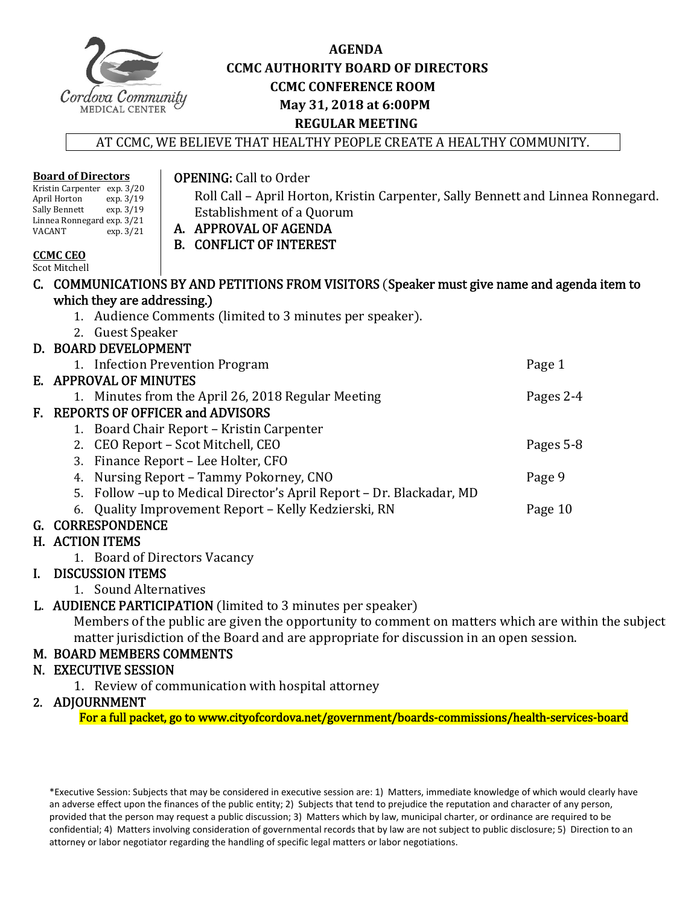

**Board of Directors**

## **AGENDA CCMC AUTHORITY BOARD OF DIRECTORS CCMC CONFERENCE ROOM May 31, 2018 at 6:00PM REGULAR MEETING**

AT CCMC, WE BELIEVE THAT HEALTHY PEOPLE CREATE A HEALTHY COMMUNITY.

|                                                                                             | Kristin Carpenter exp. 3/20<br>April Horton<br>exp. 3/19 | Roll Call - April Horton, Kristin Carpenter, Sally Bennett and Linnea Ronnegard. |           |  |  |
|---------------------------------------------------------------------------------------------|----------------------------------------------------------|----------------------------------------------------------------------------------|-----------|--|--|
|                                                                                             | Sally Bennett<br>exp. 3/19                               | Establishment of a Quorum                                                        |           |  |  |
| Linnea Ronnegard exp. 3/21<br><b>VACANT</b><br>exp. $3/21$                                  |                                                          | A. APPROVAL OF AGENDA                                                            |           |  |  |
|                                                                                             |                                                          | <b>B. CONFLICT OF INTEREST</b>                                                   |           |  |  |
| <b>CCMC CEO</b>                                                                             |                                                          |                                                                                  |           |  |  |
|                                                                                             | <b>Scot Mitchell</b>                                     |                                                                                  |           |  |  |
| C. COMMUNICATIONS BY AND PETITIONS FROM VISITORS (Speaker must give name and agenda item to |                                                          |                                                                                  |           |  |  |
|                                                                                             | which they are addressing.)                              |                                                                                  |           |  |  |
|                                                                                             |                                                          | 1. Audience Comments (limited to 3 minutes per speaker).                         |           |  |  |
|                                                                                             | 2. Guest Speaker                                         |                                                                                  |           |  |  |
|                                                                                             | D. BOARD DEVELOPMENT                                     |                                                                                  |           |  |  |
|                                                                                             |                                                          | 1. Infection Prevention Program                                                  | Page 1    |  |  |
|                                                                                             | E. APPROVAL OF MINUTES                                   |                                                                                  |           |  |  |
|                                                                                             |                                                          | 1. Minutes from the April 26, 2018 Regular Meeting                               | Pages 2-4 |  |  |
| F. REPORTS OF OFFICER and ADVISORS                                                          |                                                          |                                                                                  |           |  |  |
|                                                                                             |                                                          | 1. Board Chair Report – Kristin Carpenter                                        |           |  |  |
|                                                                                             |                                                          | 2. CEO Report – Scot Mitchell, CEO                                               | Pages 5-8 |  |  |
|                                                                                             |                                                          | 3. Finance Report - Lee Holter, CFO                                              |           |  |  |
|                                                                                             | 4.                                                       | Nursing Report – Tammy Pokorney, CNO                                             | Page 9    |  |  |
|                                                                                             |                                                          | 5. Follow -up to Medical Director's April Report - Dr. Blackadar, MD             |           |  |  |
|                                                                                             | 6.                                                       | Quality Improvement Report - Kelly Kedzierski, RN                                | Page 10   |  |  |
|                                                                                             | G. CORRESPONDENCE                                        |                                                                                  |           |  |  |
|                                                                                             | H. ACTION ITEMS                                          |                                                                                  |           |  |  |
|                                                                                             |                                                          | 1. Board of Directors Vacancy                                                    |           |  |  |
|                                                                                             | I. DISCUSSION ITEMS                                      |                                                                                  |           |  |  |

1. Sound Alternatives 

## L. AUDIENCE PARTICIPATION (limited to 3 minutes per speaker)

**OPENING:** Call to Order

Members of the public are given the opportunity to comment on matters which are within the subject matter jurisdiction of the Board and are appropriate for discussion in an open session.

## M. BOARD MEMBERS COMMENTS

## N. EXECUTIVE SESSION

1. Review of communication with hospital attorney

## 2. ADJOURNMENT

For a full packet, go to www.cityofcordova.net/government/boards-commissions/health-services-board

\*Executive Session: Subjects that may be considered in executive session are: 1) Matters, immediate knowledge of which would clearly have an adverse effect upon the finances of the public entity; 2) Subjects that tend to prejudice the reputation and character of any person, provided that the person may request a public discussion; 3) Matters which by law, municipal charter, or ordinance are required to be confidential; 4) Matters involving consideration of governmental records that by law are not subject to public disclosure; 5) Direction to an attorney or labor negotiator regarding the handling of specific legal matters or labor negotiations.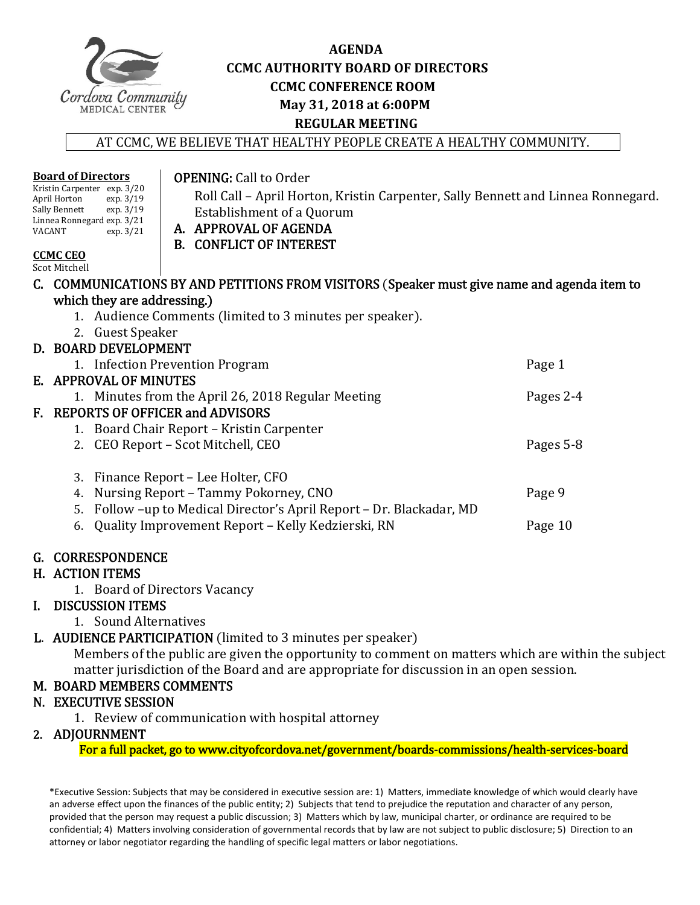

**Board of Directors**

## **AGENDA CCMC AUTHORITY BOARD OF DIRECTORS CCMC CONFERENCE ROOM May 31, 2018 at 6:00PM REGULAR MEETING**

AT CCMC, WE BELIEVE THAT HEALTHY PEOPLE CREATE A HEALTHY COMMUNITY.

**OPENING: Call to Order** 

| Kristin Carpenter exp. 3/20<br>April Horton<br>exp. 3/19<br>Sally Bennett<br>exp. 3/19<br>Linnea Ronnegard exp. 3/21<br>VACANT<br>exp.3/21<br><b>CCMC CEO</b><br>Scot Mitchell | Roll Call – April Horton, Kristin Carpenter, Sally Bennett and Linnea Ronnegard.<br>Establishment of a Quorum<br>A. APPROVAL OF AGENDA<br><b>B. CONFLICT OF INTEREST</b> |           |  |
|--------------------------------------------------------------------------------------------------------------------------------------------------------------------------------|--------------------------------------------------------------------------------------------------------------------------------------------------------------------------|-----------|--|
|                                                                                                                                                                                | C. COMMUNICATIONS BY AND PETITIONS FROM VISITORS (Speaker must give name and agenda item to                                                                              |           |  |
| which they are addressing.)                                                                                                                                                    |                                                                                                                                                                          |           |  |
| 1. Audience Comments (limited to 3 minutes per speaker).                                                                                                                       |                                                                                                                                                                          |           |  |
| 2. Guest Speaker                                                                                                                                                               |                                                                                                                                                                          |           |  |
| D. BOARD DEVELOPMENT                                                                                                                                                           |                                                                                                                                                                          |           |  |
|                                                                                                                                                                                | 1. Infection Prevention Program                                                                                                                                          | Page 1    |  |
| E. APPROVAL OF MINUTES                                                                                                                                                         |                                                                                                                                                                          |           |  |
|                                                                                                                                                                                | 1. Minutes from the April 26, 2018 Regular Meeting                                                                                                                       | Pages 2-4 |  |
| F. REPORTS OF OFFICER and ADVISORS                                                                                                                                             |                                                                                                                                                                          |           |  |
|                                                                                                                                                                                | 1. Board Chair Report – Kristin Carpenter                                                                                                                                |           |  |
|                                                                                                                                                                                | 2. CEO Report - Scot Mitchell, CEO                                                                                                                                       | Pages 5-8 |  |
| 3.                                                                                                                                                                             | Finance Report – Lee Holter, CFO                                                                                                                                         |           |  |
| 4.                                                                                                                                                                             | Nursing Report – Tammy Pokorney, CNO                                                                                                                                     | Page 9    |  |
| 5.                                                                                                                                                                             | Follow -up to Medical Director's April Report - Dr. Blackadar, MD                                                                                                        |           |  |
| 6.                                                                                                                                                                             | Quality Improvement Report - Kelly Kedzierski, RN                                                                                                                        | Page 10   |  |
|                                                                                                                                                                                |                                                                                                                                                                          |           |  |

# G. CORRESPONDENCE

## H. ACTION ITEMS

1. Board of Directors Vacancy 

## I. DISCUSSION ITEMS

1. Sound Alternatives 

## L. AUDIENCE PARTICIPATION (limited to 3 minutes per speaker)

Members of the public are given the opportunity to comment on matters which are within the subject matter jurisdiction of the Board and are appropriate for discussion in an open session.

## M. BOARD MEMBERS COMMENTS

## N. EXECUTIVE SESSION

1. Review of communication with hospital attorney

## 2. ADJOURNMENT

For a full packet, go to www.cityofcordova.net/government/boards-commissions/health-services-board

\*Executive Session: Subjects that may be considered in executive session are: 1) Matters, immediate knowledge of which would clearly have an adverse effect upon the finances of the public entity; 2) Subjects that tend to prejudice the reputation and character of any person, provided that the person may request a public discussion; 3) Matters which by law, municipal charter, or ordinance are required to be confidential; 4) Matters involving consideration of governmental records that by law are not subject to public disclosure; 5) Direction to an attorney or labor negotiator regarding the handling of specific legal matters or labor negotiations.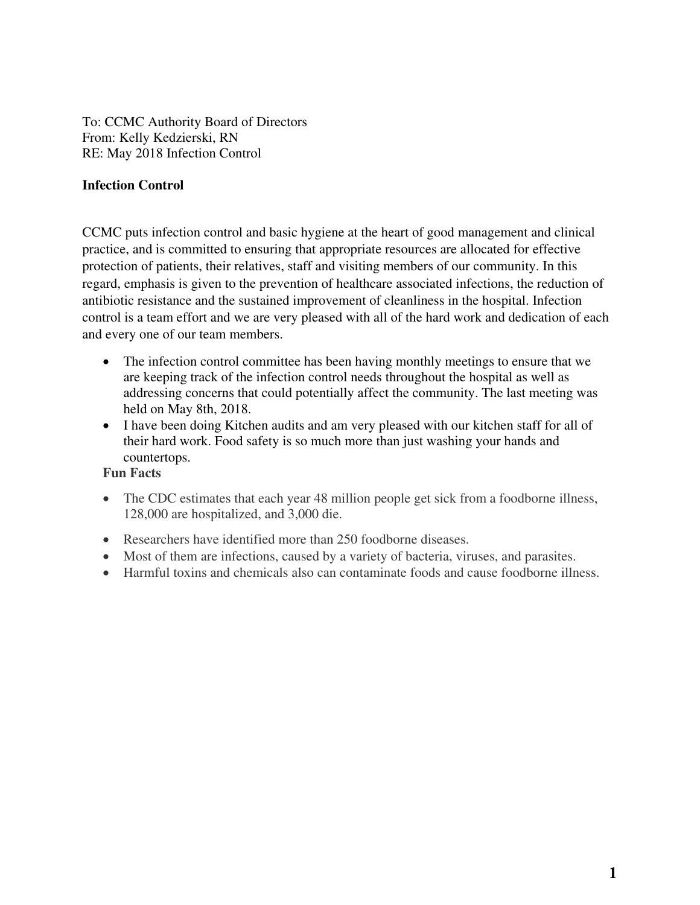To: CCMC Authority Board of Directors From: Kelly Kedzierski, RN RE: May 2018 Infection Control

### **Infection Control**

CCMC puts infection control and basic hygiene at the heart of good management and clinical practice, and is committed to ensuring that appropriate resources are allocated for effective protection of patients, their relatives, staff and visiting members of our community. In this regard, emphasis is given to the prevention of healthcare associated infections, the reduction of antibiotic resistance and the sustained improvement of cleanliness in the hospital. Infection control is a team effort and we are very pleased with all of the hard work and dedication of each and every one of our team members.

- The infection control committee has been having monthly meetings to ensure that we are keeping track of the infection control needs throughout the hospital as well as addressing concerns that could potentially affect the community. The last meeting was held on May 8th, 2018.
- I have been doing Kitchen audits and am very pleased with our kitchen staff for all of their hard work. Food safety is so much more than just washing your hands and countertops.

#### **Fun Facts**

- The CDC estimates that each year 48 million people get sick from a foodborne illness, 128,000 are hospitalized, and 3,000 die.
- Researchers have identified more than 250 foodborne diseases.
- Most of them are infections, caused by a variety of bacteria, viruses, and parasites.
- Harmful toxins and chemicals also can contaminate foods and cause foodborne illness.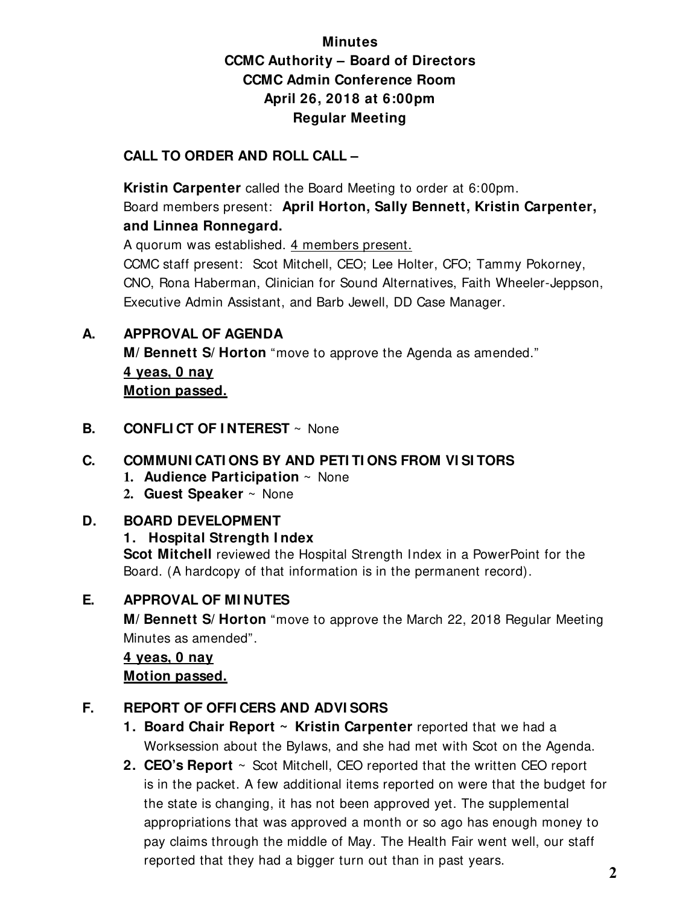# **Minutes CCMC Authority – Board of Directors CCMC Admin Conference Room April 26, 2018 at 6:00pm Regular Meeting**

# **CALL TO ORDER AND ROLL CALL –**

 **Kristin Carpenter** called the Board Meeting to order at 6:00pm. Board members present: **April Horton, Sally Bennett, Kristin Carpenter, and Linnea Ronnegard.** 

A quorum was established. 4 members present.

CCMC staff present: Scot Mitchell, CEO; Lee Holter, CFO; Tammy Pokorney, CNO, Rona Haberman, Clinician for Sound Alternatives, Faith Wheeler-Jeppson, Executive Admin Assistant, and Barb Jewell, DD Case Manager.

# **A. APPROVAL OF AGENDA**

 **M/ Bennett S/ Horton** "move to approve the Agenda as amended." **4 yeas, 0 nay Motion passed.** 

**B. CONFLICT OF INTEREST**  $\sim$  None

# **C. COMMUNI CATI ONS BY AND PETI TI ONS FROM VI SI TORS**

- **1. Audience Participation** ~ None
- **2. Guest Speaker** ~ None

# **D. BOARD DEVELOPMENT**

# **1. Hospital Strength I ndex**

**Scot Mitchell** reviewed the Hospital Strength Index in a PowerPoint for the Board. (A hardcopy of that information is in the permanent record).

# **E. APPROVAL OF MI NUTES**

**M/ Bennett S/ Horton** "move to approve the March 22, 2018 Regular Meeting Minutes as amended".

# **4 yeas, 0 nay**

## **Motion passed.**

# **F. REPORT OF OFFI CERS AND ADVI SORS**

- **1. Board Chair Report ~ Kristin Carpenter** reported that we had a Worksession about the Bylaws, and she had met with Scot on the Agenda.
- **2. CEO's Report** ~ Scot Mitchell, CEO reported that the written CEO report is in the packet. A few additional items reported on were that the budget for the state is changing, it has not been approved yet. The supplemental appropriations that was approved a month or so ago has enough money to pay claims through the middle of May. The Health Fair went well, our staff reported that they had a bigger turn out than in past years.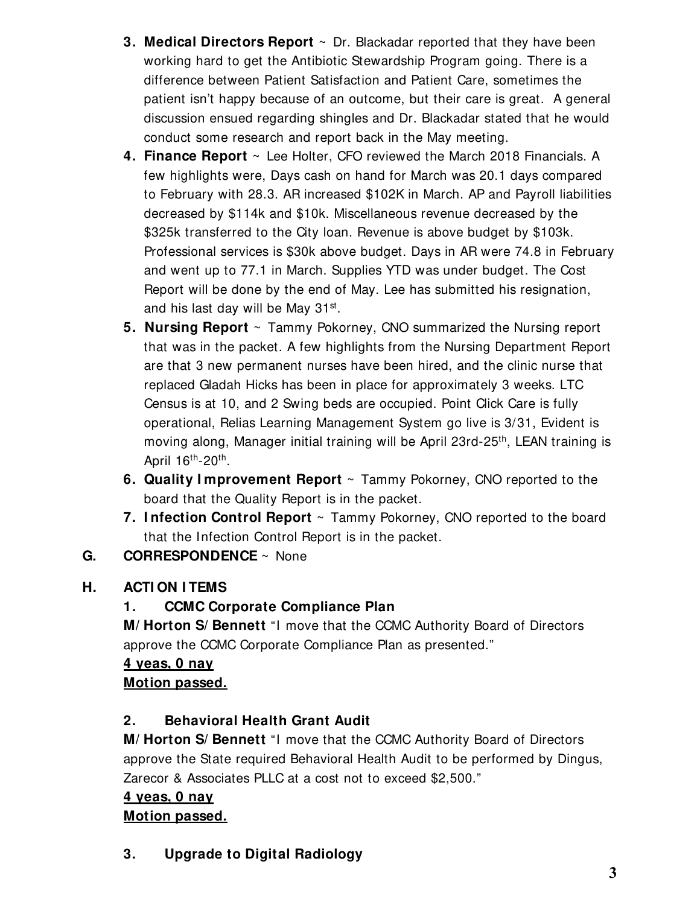- **3. Medical Directors Report** ~ Dr. Blackadar reported that they have been working hard to get the Antibiotic Stewardship Program going. There is a difference between Patient Satisfaction and Patient Care, sometimes the patient isn't happy because of an outcome, but their care is great. A general discussion ensued regarding shingles and Dr. Blackadar stated that he would conduct some research and report back in the May meeting.
- **4. Finance Report** ~ Lee Holter, CFO reviewed the March 2018 Financials. A few highlights were, Days cash on hand for March was 20.1 days compared to February with 28.3. AR increased \$102K in March. AP and Payroll liabilities decreased by \$114k and \$10k. Miscellaneous revenue decreased by the \$325k transferred to the City loan. Revenue is above budget by \$103k. Professional services is \$30k above budget. Days in AR were 74.8 in February and went up to 77.1 in March. Supplies YTD was under budget. The Cost Report will be done by the end of May. Lee has submitted his resignation, and his last day will be May 31st.
- **5. Nursing Report** ~ Tammy Pokorney, CNO summarized the Nursing report that was in the packet. A few highlights from the Nursing Department Report are that 3 new permanent nurses have been hired, and the clinic nurse that replaced Gladah Hicks has been in place for approximately 3 weeks. LTC Census is at 10, and 2 Swing beds are occupied. Point Click Care is fully operational, Relias Learning Management System go live is 3/31, Evident is moving along, Manager initial training will be April 23rd-25<sup>th</sup>, LEAN training is April 16<sup>th</sup>-20<sup>th</sup>.
- **6. Quality I mprovement Report** ~ Tammy Pokorney, CNO reported to the board that the Quality Report is in the packet.
- **7. I nfection Control Report** ~ Tammy Pokorney, CNO reported to the board that the Infection Control Report is in the packet.

# **G. CORRESPONDENCE** ~ None

# **H. ACTI ON I TEMS**

# **1. CCMC Corporate Compliance Plan**

**M/ Horton S/ Bennett** "I move that the CCMC Authority Board of Directors approve the CCMC Corporate Compliance Plan as presented."

# **4 yeas, 0 nay Motion passed.**

# **2. Behavioral Health Grant Audit**

**M/ Horton S/ Bennett** "I move that the CCMC Authority Board of Directors approve the State required Behavioral Health Audit to be performed by Dingus, Zarecor & Associates PLLC at a cost not to exceed \$2,500."

# **4 yeas, 0 nay Motion passed.**

**3. Upgrade to Digital Radiology**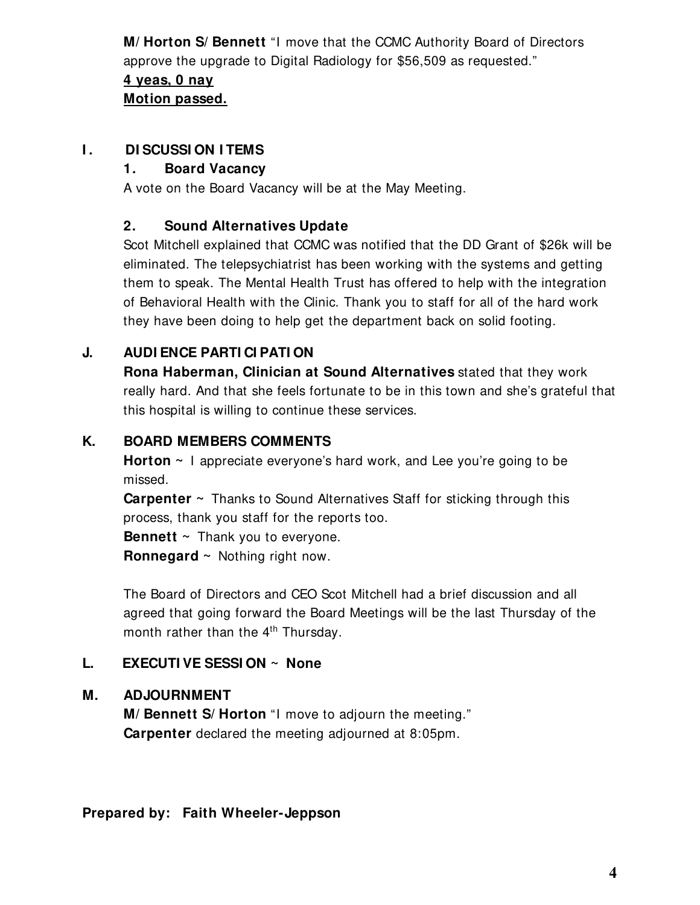**M/ Horton S/ Bennett** "I move that the CCMC Authority Board of Directors approve the upgrade to Digital Radiology for \$56,509 as requested." **4 yeas, 0 nay Motion passed.** 

## **I.** DI SCUSSION I TEMS

## **1. Board Vacancy**

A vote on the Board Vacancy will be at the May Meeting.

## **2. Sound Alternatives Update**

Scot Mitchell explained that CCMC was notified that the DD Grant of \$26k will be eliminated. The telepsychiatrist has been working with the systems and getting them to speak. The Mental Health Trust has offered to help with the integration of Behavioral Health with the Clinic. Thank you to staff for all of the hard work they have been doing to help get the department back on solid footing.

# **J. AUDI ENCE PARTI CI PATI ON**

**Rona Haberman, Clinician at Sound Alternatives** stated that they work really hard. And that she feels fortunate to be in this town and she's grateful that this hospital is willing to continue these services.

## **K. BOARD MEMBERS COMMENTS**

**Horton ~** I appreciate everyone's hard work, and Lee you're going to be missed.

**Carpenter ~** Thanks to Sound Alternatives Staff for sticking through this process, thank you staff for the reports too.

**Bennett** ~ Thank you to everyone.

**Ronnegard ~** Nothing right now.

The Board of Directors and CEO Scot Mitchell had a brief discussion and all agreed that going forward the Board Meetings will be the last Thursday of the month rather than the  $4<sup>th</sup>$  Thursday.

# **L. EXECUTI VE SESSI ON ~ None**

# **M. ADJOURNMENT**

**M/ Bennett S/ Horton** "I move to adjourn the meeting." **Carpenter** declared the meeting adjourned at 8:05pm.

## **Prepared by: Faith Wheeler-Jeppson**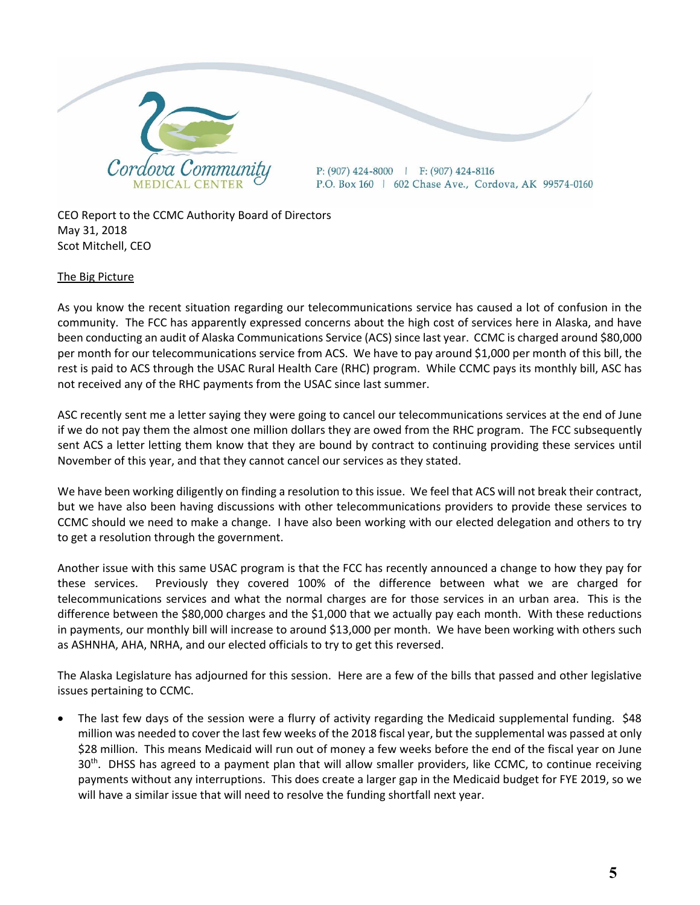

CEO Report to the CCMC Authority Board of Directors May 31, 2018 Scot Mitchell, CEO

#### The Big Picture

As you know the recent situation regarding our telecommunications service has caused a lot of confusion in the community. The FCC has apparently expressed concerns about the high cost of services here in Alaska, and have been conducting an audit of Alaska Communications Service (ACS) since last year. CCMC is charged around \$80,000 per month for our telecommunications service from ACS. We have to pay around \$1,000 per month of this bill, the rest is paid to ACS through the USAC Rural Health Care (RHC) program. While CCMC pays its monthly bill, ASC has not received any of the RHC payments from the USAC since last summer.

ASC recently sent me a letter saying they were going to cancel our telecommunications services at the end of June if we do not pay them the almost one million dollars they are owed from the RHC program. The FCC subsequently sent ACS a letter letting them know that they are bound by contract to continuing providing these services until November of this year, and that they cannot cancel our services as they stated.

We have been working diligently on finding a resolution to this issue. We feel that ACS will not break their contract, but we have also been having discussions with other telecommunications providers to provide these services to CCMC should we need to make a change. I have also been working with our elected delegation and others to try to get a resolution through the government.

Another issue with this same USAC program is that the FCC has recently announced a change to how they pay for these services. Previously they covered 100% of the difference between what we are charged for telecommunications services and what the normal charges are for those services in an urban area. This is the difference between the \$80,000 charges and the \$1,000 that we actually pay each month. With these reductions in payments, our monthly bill will increase to around \$13,000 per month. We have been working with others such as ASHNHA, AHA, NRHA, and our elected officials to try to get this reversed.

The Alaska Legislature has adjourned for this session. Here are a few of the bills that passed and other legislative issues pertaining to CCMC.

 The last few days of the session were a flurry of activity regarding the Medicaid supplemental funding. \$48 million was needed to cover the last few weeks of the 2018 fiscal year, but the supplemental was passed at only \$28 million. This means Medicaid will run out of money a few weeks before the end of the fiscal year on June 30<sup>th</sup>. DHSS has agreed to a payment plan that will allow smaller providers, like CCMC, to continue receiving payments without any interruptions. This does create a larger gap in the Medicaid budget for FYE 2019, so we will have a similar issue that will need to resolve the funding shortfall next year.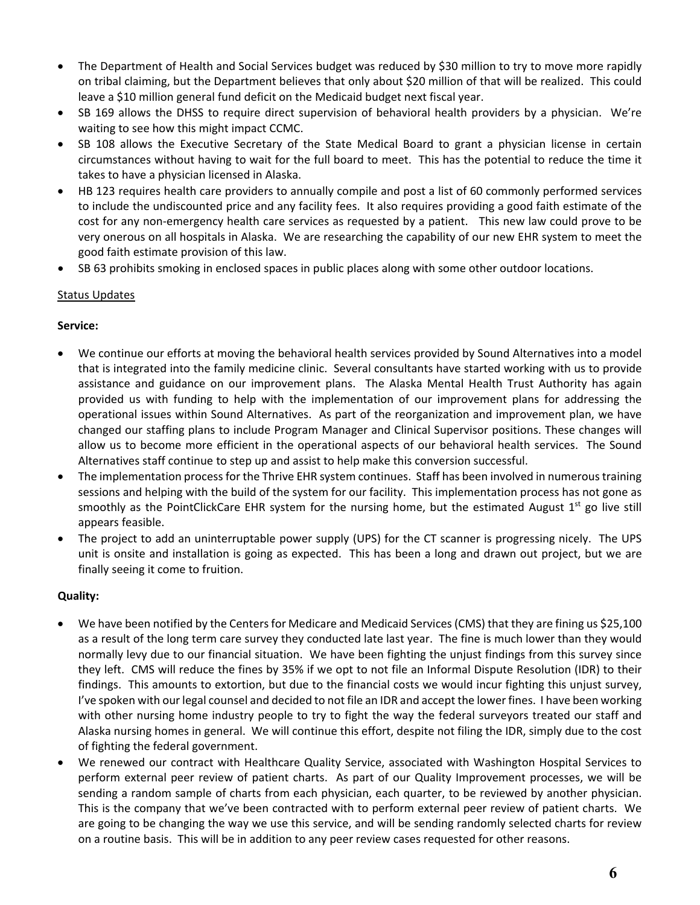- The Department of Health and Social Services budget was reduced by \$30 million to try to move more rapidly on tribal claiming, but the Department believes that only about \$20 million of that will be realized. This could leave a \$10 million general fund deficit on the Medicaid budget next fiscal year.
- SB 169 allows the DHSS to require direct supervision of behavioral health providers by a physician. We're waiting to see how this might impact CCMC.
- SB 108 allows the Executive Secretary of the State Medical Board to grant a physician license in certain circumstances without having to wait for the full board to meet. This has the potential to reduce the time it takes to have a physician licensed in Alaska.
- HB 123 requires health care providers to annually compile and post a list of 60 commonly performed services to include the undiscounted price and any facility fees. It also requires providing a good faith estimate of the cost for any non-emergency health care services as requested by a patient. This new law could prove to be very onerous on all hospitals in Alaska. We are researching the capability of our new EHR system to meet the good faith estimate provision of this law.
- SB 63 prohibits smoking in enclosed spaces in public places along with some other outdoor locations.

#### Status Updates

#### **Service:**

- We continue our efforts at moving the behavioral health services provided by Sound Alternatives into a model that is integrated into the family medicine clinic. Several consultants have started working with us to provide assistance and guidance on our improvement plans. The Alaska Mental Health Trust Authority has again provided us with funding to help with the implementation of our improvement plans for addressing the operational issues within Sound Alternatives. As part of the reorganization and improvement plan, we have changed our staffing plans to include Program Manager and Clinical Supervisor positions. These changes will allow us to become more efficient in the operational aspects of our behavioral health services. The Sound Alternatives staff continue to step up and assist to help make this conversion successful.
- The implementation process for the Thrive EHR system continues. Staff has been involved in numerous training sessions and helping with the build of the system for our facility. This implementation process has not gone as smoothly as the PointClickCare EHR system for the nursing home, but the estimated August 1<sup>st</sup> go live still appears feasible.
- The project to add an uninterruptable power supply (UPS) for the CT scanner is progressing nicely. The UPS unit is onsite and installation is going as expected. This has been a long and drawn out project, but we are finally seeing it come to fruition.

#### **Quality:**

- We have been notified by the Centersfor Medicare and Medicaid Services(CMS) that they are fining us \$25,100 as a result of the long term care survey they conducted late last year. The fine is much lower than they would normally levy due to our financial situation. We have been fighting the unjust findings from this survey since they left. CMS will reduce the fines by 35% if we opt to not file an Informal Dispute Resolution (IDR) to their findings. This amounts to extortion, but due to the financial costs we would incur fighting this unjust survey, I've spoken with our legal counsel and decided to not file an IDR and accept the lower fines. I have been working with other nursing home industry people to try to fight the way the federal surveyors treated our staff and Alaska nursing homes in general. We will continue this effort, despite not filing the IDR, simply due to the cost of fighting the federal government.
- We renewed our contract with Healthcare Quality Service, associated with Washington Hospital Services to perform external peer review of patient charts. As part of our Quality Improvement processes, we will be sending a random sample of charts from each physician, each quarter, to be reviewed by another physician. This is the company that we've been contracted with to perform external peer review of patient charts. We are going to be changing the way we use this service, and will be sending randomly selected charts for review on a routine basis. This will be in addition to any peer review cases requested for other reasons.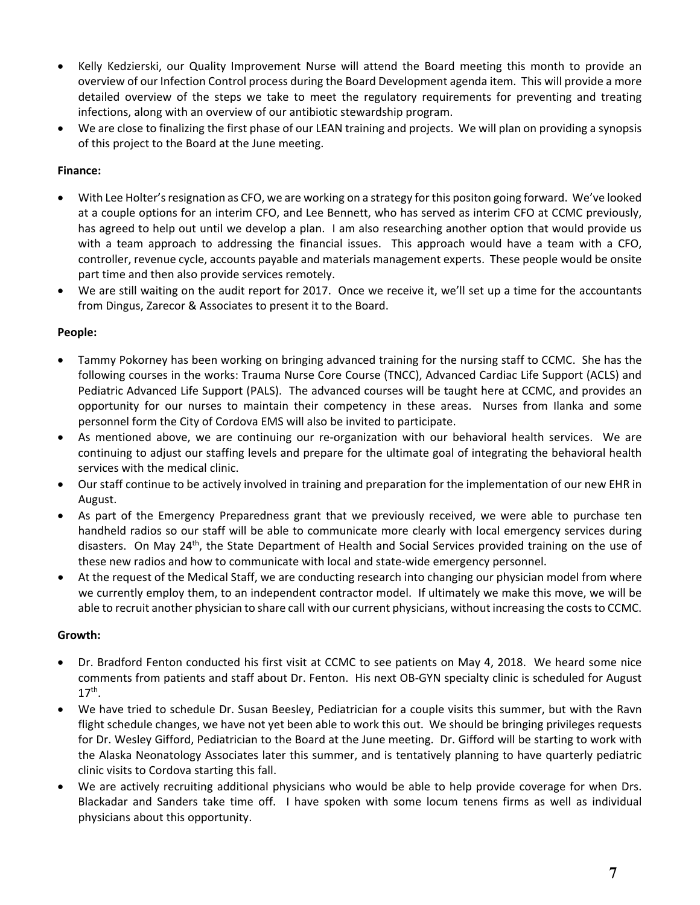- Kelly Kedzierski, our Quality Improvement Nurse will attend the Board meeting this month to provide an overview of our Infection Control process during the Board Development agenda item. This will provide a more detailed overview of the steps we take to meet the regulatory requirements for preventing and treating infections, along with an overview of our antibiotic stewardship program.
- We are close to finalizing the first phase of our LEAN training and projects. We will plan on providing a synopsis of this project to the Board at the June meeting.

#### **Finance:**

- With Lee Holter's resignation as CFO, we are working on a strategy for this positon going forward. We've looked at a couple options for an interim CFO, and Lee Bennett, who has served as interim CFO at CCMC previously, has agreed to help out until we develop a plan. I am also researching another option that would provide us with a team approach to addressing the financial issues. This approach would have a team with a CFO, controller, revenue cycle, accounts payable and materials management experts. These people would be onsite part time and then also provide services remotely.
- We are still waiting on the audit report for 2017. Once we receive it, we'll set up a time for the accountants from Dingus, Zarecor & Associates to present it to the Board.

#### **People:**

- Tammy Pokorney has been working on bringing advanced training for the nursing staff to CCMC. She has the following courses in the works: Trauma Nurse Core Course (TNCC), Advanced Cardiac Life Support (ACLS) and Pediatric Advanced Life Support (PALS). The advanced courses will be taught here at CCMC, and provides an opportunity for our nurses to maintain their competency in these areas. Nurses from Ilanka and some personnel form the City of Cordova EMS will also be invited to participate.
- As mentioned above, we are continuing our re-organization with our behavioral health services. We are continuing to adjust our staffing levels and prepare for the ultimate goal of integrating the behavioral health services with the medical clinic.
- Our staff continue to be actively involved in training and preparation for the implementation of our new EHR in August.
- As part of the Emergency Preparedness grant that we previously received, we were able to purchase ten handheld radios so our staff will be able to communicate more clearly with local emergency services during disasters. On May 24<sup>th</sup>, the State Department of Health and Social Services provided training on the use of these new radios and how to communicate with local and state‐wide emergency personnel.
- At the request of the Medical Staff, we are conducting research into changing our physician model from where we currently employ them, to an independent contractor model. If ultimately we make this move, we will be able to recruit another physician to share call with our current physicians, without increasing the costs to CCMC.

#### **Growth:**

- Dr. Bradford Fenton conducted his first visit at CCMC to see patients on May 4, 2018. We heard some nice comments from patients and staff about Dr. Fenton. His next OB‐GYN specialty clinic is scheduled for August  $17<sup>th</sup>$ .
- We have tried to schedule Dr. Susan Beesley, Pediatrician for a couple visits this summer, but with the Ravn flight schedule changes, we have not yet been able to work this out. We should be bringing privileges requests for Dr. Wesley Gifford, Pediatrician to the Board at the June meeting. Dr. Gifford will be starting to work with the Alaska Neonatology Associates later this summer, and is tentatively planning to have quarterly pediatric clinic visits to Cordova starting this fall.
- We are actively recruiting additional physicians who would be able to help provide coverage for when Drs. Blackadar and Sanders take time off. I have spoken with some locum tenens firms as well as individual physicians about this opportunity.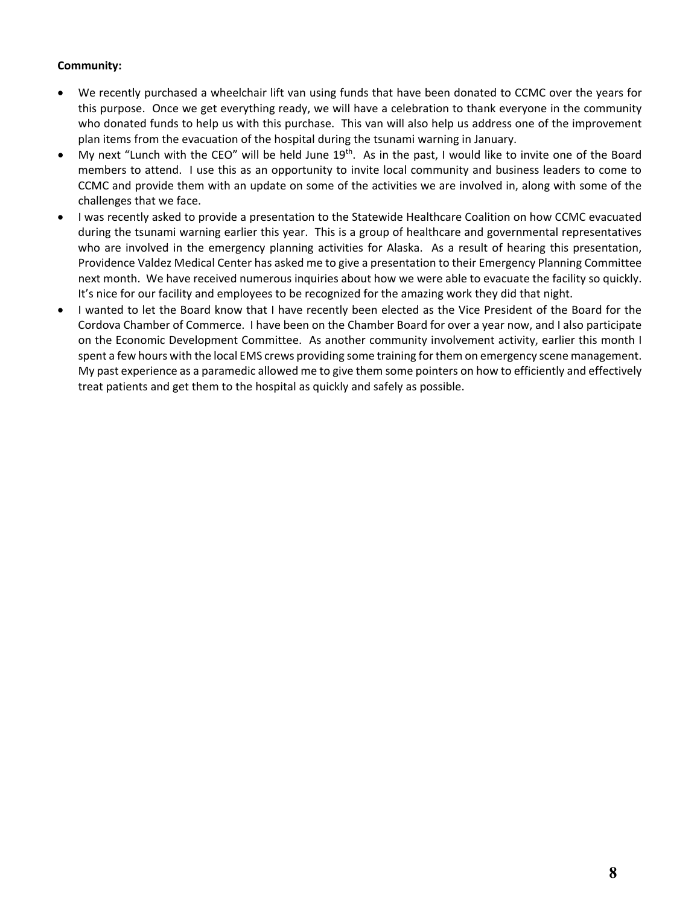#### **Community:**

- We recently purchased a wheelchair lift van using funds that have been donated to CCMC over the years for this purpose. Once we get everything ready, we will have a celebration to thank everyone in the community who donated funds to help us with this purchase. This van will also help us address one of the improvement plan items from the evacuation of the hospital during the tsunami warning in January.
- My next "Lunch with the CEO" will be held June 19<sup>th</sup>. As in the past, I would like to invite one of the Board members to attend. I use this as an opportunity to invite local community and business leaders to come to CCMC and provide them with an update on some of the activities we are involved in, along with some of the challenges that we face.
- I was recently asked to provide a presentation to the Statewide Healthcare Coalition on how CCMC evacuated during the tsunami warning earlier this year. This is a group of healthcare and governmental representatives who are involved in the emergency planning activities for Alaska. As a result of hearing this presentation, Providence Valdez Medical Center has asked me to give a presentation to their Emergency Planning Committee next month. We have received numerous inquiries about how we were able to evacuate the facility so quickly. It's nice for our facility and employees to be recognized for the amazing work they did that night.
- I wanted to let the Board know that I have recently been elected as the Vice President of the Board for the Cordova Chamber of Commerce. I have been on the Chamber Board for over a year now, and I also participate on the Economic Development Committee. As another community involvement activity, earlier this month I spent a few hours with the local EMS crews providing some training forthem on emergency scene management. My past experience as a paramedic allowed me to give them some pointers on how to efficiently and effectively treat patients and get them to the hospital as quickly and safely as possible.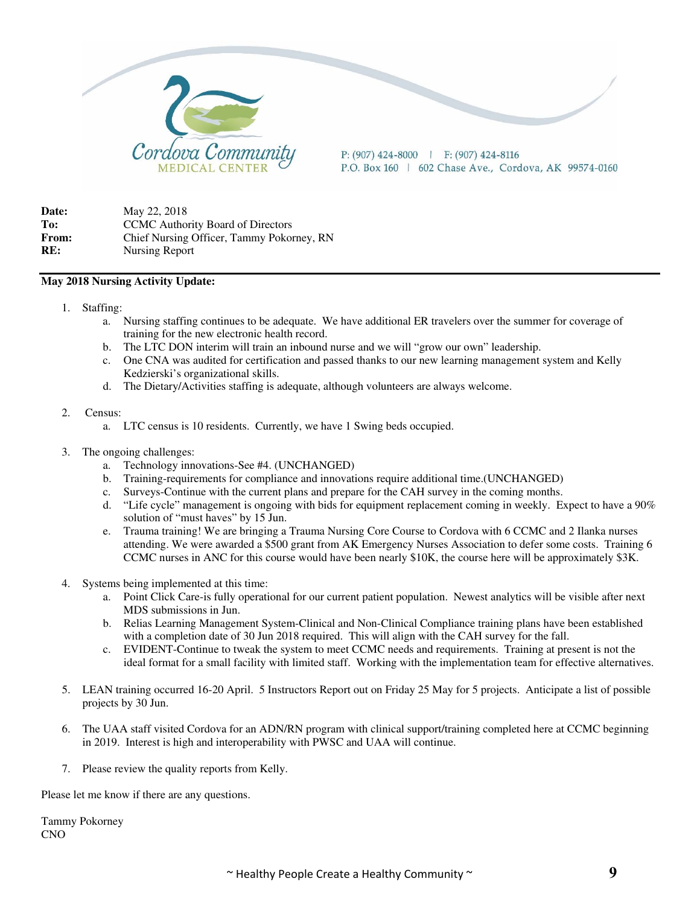

P: (907) 424-8000 | F: (907) 424-8116 P.O. Box 160 | 602 Chase Ave., Cordova, AK 99574-0160

**Date:** May 22, 2018 To: CCMC Authority Board of Directors **From:** Chief Nursing Officer, Tammy Pokorney, RN **RE:** Nursing Report

#### **May 2018 Nursing Activity Update:**

- 1. Staffing:
	- a. Nursing staffing continues to be adequate. We have additional ER travelers over the summer for coverage of training for the new electronic health record.
	- b. The LTC DON interim will train an inbound nurse and we will "grow our own" leadership.
	- c. One CNA was audited for certification and passed thanks to our new learning management system and Kelly Kedzierski's organizational skills.
	- d. The Dietary/Activities staffing is adequate, although volunteers are always welcome.
- 2. Census:
	- a. LTC census is 10 residents. Currently, we have 1 Swing beds occupied.
- 3. The ongoing challenges:
	- a. Technology innovations-See #4. (UNCHANGED)
	- b. Training-requirements for compliance and innovations require additional time.(UNCHANGED)
	- c. Surveys-Continue with the current plans and prepare for the CAH survey in the coming months.
	- d. "Life cycle" management is ongoing with bids for equipment replacement coming in weekly. Expect to have a 90% solution of "must haves" by 15 Jun.
	- e. Trauma training! We are bringing a Trauma Nursing Core Course to Cordova with 6 CCMC and 2 Ilanka nurses attending. We were awarded a \$500 grant from AK Emergency Nurses Association to defer some costs. Training 6 CCMC nurses in ANC for this course would have been nearly \$10K, the course here will be approximately \$3K.
- 4. Systems being implemented at this time:
	- a. Point Click Care-is fully operational for our current patient population. Newest analytics will be visible after next MDS submissions in Jun.
	- b. Relias Learning Management System-Clinical and Non-Clinical Compliance training plans have been established with a completion date of 30 Jun 2018 required. This will align with the CAH survey for the fall.
	- c. EVIDENT-Continue to tweak the system to meet CCMC needs and requirements. Training at present is not the ideal format for a small facility with limited staff. Working with the implementation team for effective alternatives.
- 5. LEAN training occurred 16-20 April. 5 Instructors Report out on Friday 25 May for 5 projects. Anticipate a list of possible projects by 30 Jun.
- 6. The UAA staff visited Cordova for an ADN/RN program with clinical support/training completed here at CCMC beginning in 2019. Interest is high and interoperability with PWSC and UAA will continue.
- 7. Please review the quality reports from Kelly.

Please let me know if there are any questions.

Tammy Pokorney CNO